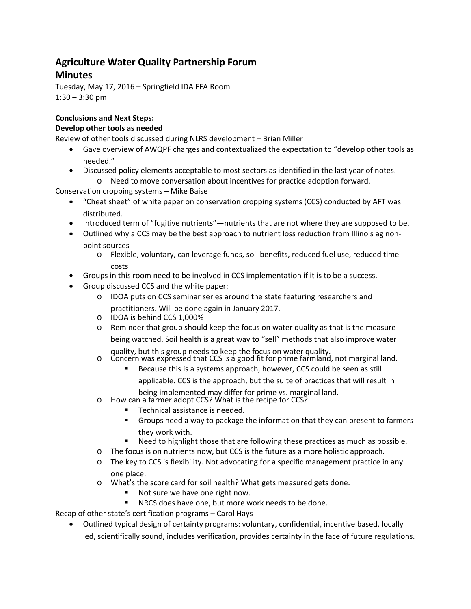# **Agriculture Water Quality Partnership Forum Minutes**

Tuesday, May 17, 2016 – Springfield IDA FFA Room  $1:30 - 3:30$  pm

# **Conclusions and Next Steps:**

## **Develop other tools as needed**

Review of other tools discussed during NLRS development – Brian Miller

- Gave overview of AWQPF charges and contextualized the expectation to "develop other tools as needed."
- Discussed policy elements acceptable to most sectors as identified in the last year of notes.
	- o Need to move conversation about incentives for practice adoption forward.

Conservation cropping systems – Mike Baise

- "Cheat sheet" of white paper on conservation cropping systems (CCS) conducted by AFT was distributed.
- Introduced term of "fugitive nutrients"—nutrients that are not where they are supposed to be.
- Outlined why a CCS may be the best approach to nutrient loss reduction from Illinois ag nonpoint sources
	- o Flexible, voluntary, can leverage funds, soil benefits, reduced fuel use, reduced time costs
- Groups in this room need to be involved in CCS implementation if it is to be a success.
- Group discussed CCS and the white paper:
	- o IDOA puts on CCS seminar series around the state featuring researchers and practitioners. Will be done again in January 2017.
	- o IDOA is behind CCS 1,000%
	- o Reminder that group should keep the focus on water quality as that is the measure being watched. Soil health is a great way to "sell" methods that also improve water

- quality, but this group needs to keep the focus on water quality.<br>
In Concern was expressed that CCS is a good fit for prime farmland, not marginal land.
	- Because this is a systems approach, however, CCS could be seen as still

applicable. CCS is the approach, but the suite of practices that will result in

being implemented may differ for prime vs. marginal land.<br>
o How can a farmer adopt CCS? What is the recipe for CCS?

- - Technical assistance is needed.
	- Groups need a way to package the information that they can present to farmers they work with.
	- Need to highlight those that are following these practices as much as possible.
- o The focus is on nutrients now, but CCS is the future as a more holistic approach.
- o The key to CCS is flexibility. Not advocating for a specific management practice in any one place.
- o What's the score card for soil health? What gets measured gets done.
	- Not sure we have one right now.
	- NRCS does have one, but more work needs to be done.

Recap of other state's certification programs – Carol Hays

 Outlined typical design of certainty programs: voluntary, confidential, incentive based, locally led, scientifically sound, includes verification, provides certainty in the face of future regulations.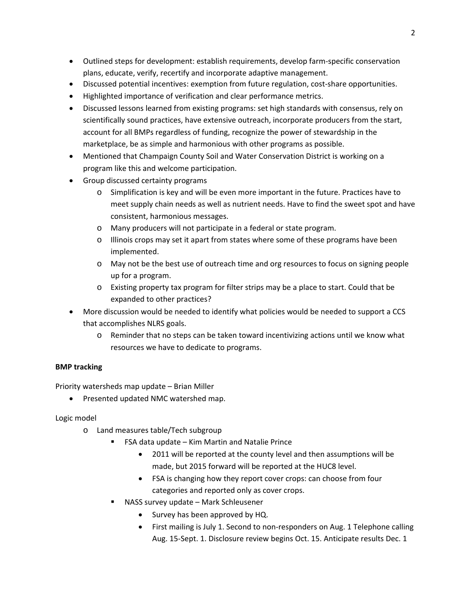- Outlined steps for development: establish requirements, develop farm-specific conservation plans, educate, verify, recertify and incorporate adaptive management.
- Discussed potential incentives: exemption from future regulation, cost-share opportunities.
- Highlighted importance of verification and clear performance metrics.
- Discussed lessons learned from existing programs: set high standards with consensus, rely on scientifically sound practices, have extensive outreach, incorporate producers from the start, account for all BMPs regardless of funding, recognize the power of stewardship in the marketplace, be as simple and harmonious with other programs as possible.
- Mentioned that Champaign County Soil and Water Conservation District is working on a program like this and welcome participation.
- Group discussed certainty programs
	- o Simplification is key and will be even more important in the future. Practices have to meet supply chain needs as well as nutrient needs. Have to find the sweet spot and have consistent, harmonious messages.
	- o Many producers will not participate in a federal or state program.
	- o Illinois crops may set it apart from states where some of these programs have been implemented.
	- o May not be the best use of outreach time and org resources to focus on signing people up for a program.
	- o Existing property tax program for filter strips may be a place to start. Could that be expanded to other practices?
- More discussion would be needed to identify what policies would be needed to support a CCS that accomplishes NLRS goals.
	- o Reminder that no steps can be taken toward incentivizing actions until we know what resources we have to dedicate to programs.

### **BMP tracking**

Priority watersheds map update – Brian Miller

• Presented updated NMC watershed map.

Logic model

- o Land measures table/Tech subgroup
	- FSA data update Kim Martin and Natalie Prince
		- 2011 will be reported at the county level and then assumptions will be made, but 2015 forward will be reported at the HUC8 level.
		- FSA is changing how they report cover crops: can choose from four categories and reported only as cover crops.
	- NASS survey update Mark Schleusener
		- Survey has been approved by HQ.
		- First mailing is July 1. Second to non‐responders on Aug. 1 Telephone calling Aug. 15‐Sept. 1. Disclosure review begins Oct. 15. Anticipate results Dec. 1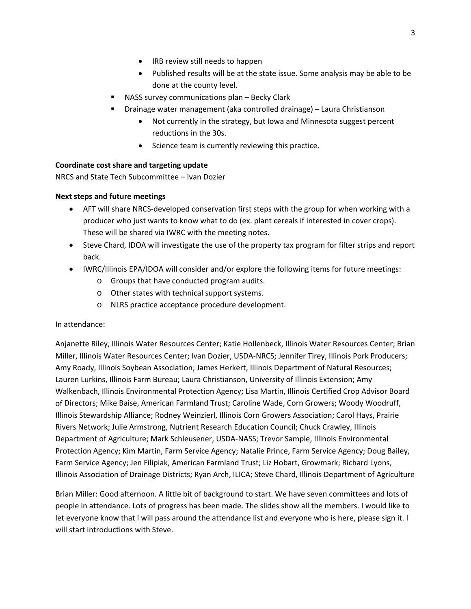- IRB review still needs to happen
- Published results will be at the state issue. Some analysis may be able to be done at the county level.
- NASS survey communications plan Becky Clark
- Drainage water management (aka controlled drainage) Laura Christianson
	- Not currently in the strategy, but Iowa and Minnesota suggest percent reductions in the 30s.
	- Science team is currently reviewing this practice.

#### **Coordinate cost share and targeting update**

NRCS and State Tech Subcommittee – Ivan Dozier

#### **Next steps and future meetings**

- AFT will share NRCS-developed conservation first steps with the group for when working with a producer who just wants to know what to do (ex. plant cereals if interested in cover crops). These will be shared via IWRC with the meeting notes.
- Steve Chard, IDOA will investigate the use of the property tax program for filter strips and report back.
- IWRC/Illinois EPA/IDOA will consider and/or explore the following items for future meetings:
	- o Groups that have conducted program audits.
	- o Other states with technical support systems.
	- o NLRS practice acceptance procedure development.

#### In attendance:

Anjanette Riley, Illinois Water Resources Center; Katie Hollenbeck, Illinois Water Resources Center; Brian Miller, Illinois Water Resources Center; Ivan Dozier, USDA‐NRCS; Jennifer Tirey, Illinois Pork Producers; Amy Roady, Illinois Soybean Association; James Herkert, Illinois Department of Natural Resources; Lauren Lurkins, Illinois Farm Bureau; Laura Christianson, University of Illinois Extension; Amy Walkenbach, Illinois Environmental Protection Agency; Lisa Martin, Illinois Certified Crop Advisor Board of Directors; Mike Baise, American Farmland Trust; Caroline Wade, Corn Growers; Woody Woodruff, Illinois Stewardship Alliance; Rodney Weinzierl, Illinois Corn Growers Association; Carol Hays, Prairie Rivers Network; Julie Armstrong, Nutrient Research Education Council; Chuck Crawley, Illinois Department of Agriculture; Mark Schleusener, USDA‐NASS; Trevor Sample, Illinois Environmental Protection Agency; Kim Martin, Farm Service Agency; Natalie Prince, Farm Service Agency; Doug Bailey, Farm Service Agency; Jen Filipiak, American Farmland Trust; Liz Hobart, Growmark; Richard Lyons, Illinois Association of Drainage Districts; Ryan Arch, ILICA; Steve Chard, Illinois Department of Agriculture

Brian Miller: Good afternoon. A little bit of background to start. We have seven committees and lots of people in attendance. Lots of progress has been made. The slides show all the members. I would like to let everyone know that I will pass around the attendance list and everyone who is here, please sign it. I will start introductions with Steve.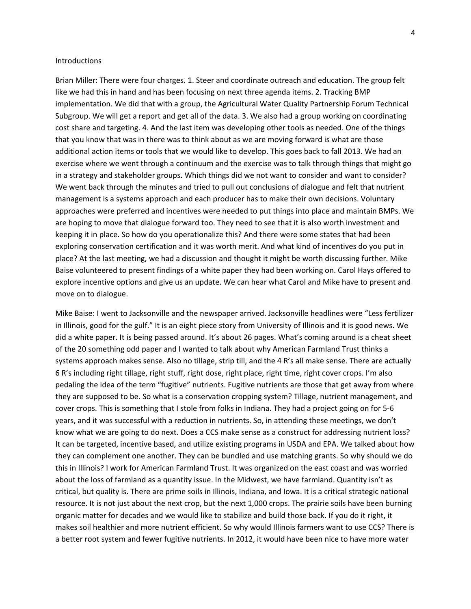#### Introductions

Brian Miller: There were four charges. 1. Steer and coordinate outreach and education. The group felt like we had this in hand and has been focusing on next three agenda items. 2. Tracking BMP implementation. We did that with a group, the Agricultural Water Quality Partnership Forum Technical Subgroup. We will get a report and get all of the data. 3. We also had a group working on coordinating cost share and targeting. 4. And the last item was developing other tools as needed. One of the things that you know that was in there was to think about as we are moving forward is what are those additional action items or tools that we would like to develop. This goes back to fall 2013. We had an exercise where we went through a continuum and the exercise was to talk through things that might go in a strategy and stakeholder groups. Which things did we not want to consider and want to consider? We went back through the minutes and tried to pull out conclusions of dialogue and felt that nutrient management is a systems approach and each producer has to make their own decisions. Voluntary approaches were preferred and incentives were needed to put things into place and maintain BMPs. We are hoping to move that dialogue forward too. They need to see that it is also worth investment and keeping it in place. So how do you operationalize this? And there were some states that had been exploring conservation certification and it was worth merit. And what kind of incentives do you put in place? At the last meeting, we had a discussion and thought it might be worth discussing further. Mike Baise volunteered to present findings of a white paper they had been working on. Carol Hays offered to explore incentive options and give us an update. We can hear what Carol and Mike have to present and move on to dialogue.

Mike Baise: I went to Jacksonville and the newspaper arrived. Jacksonville headlines were "Less fertilizer in Illinois, good for the gulf." It is an eight piece story from University of Illinois and it is good news. We did a white paper. It is being passed around. It's about 26 pages. What's coming around is a cheat sheet of the 20 something odd paper and I wanted to talk about why American Farmland Trust thinks a systems approach makes sense. Also no tillage, strip till, and the 4 R's all make sense. There are actually 6 R's including right tillage, right stuff, right dose, right place, right time, right cover crops. I'm also pedaling the idea of the term "fugitive" nutrients. Fugitive nutrients are those that get away from where they are supposed to be. So what is a conservation cropping system? Tillage, nutrient management, and cover crops. This is something that I stole from folks in Indiana. They had a project going on for 5‐6 years, and it was successful with a reduction in nutrients. So, in attending these meetings, we don't know what we are going to do next. Does a CCS make sense as a construct for addressing nutrient loss? It can be targeted, incentive based, and utilize existing programs in USDA and EPA. We talked about how they can complement one another. They can be bundled and use matching grants. So why should we do this in Illinois? I work for American Farmland Trust. It was organized on the east coast and was worried about the loss of farmland as a quantity issue. In the Midwest, we have farmland. Quantity isn't as critical, but quality is. There are prime soils in Illinois, Indiana, and Iowa. It is a critical strategic national resource. It is not just about the next crop, but the next 1,000 crops. The prairie soils have been burning organic matter for decades and we would like to stabilize and build those back. If you do it right, it makes soil healthier and more nutrient efficient. So why would Illinois farmers want to use CCS? There is a better root system and fewer fugitive nutrients. In 2012, it would have been nice to have more water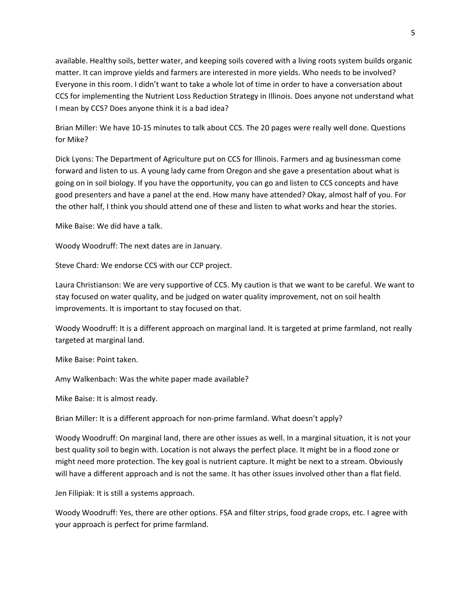available. Healthy soils, better water, and keeping soils covered with a living roots system builds organic matter. It can improve yields and farmers are interested in more yields. Who needs to be involved? Everyone in this room. I didn't want to take a whole lot of time in order to have a conversation about CCS for implementing the Nutrient Loss Reduction Strategy in Illinois. Does anyone not understand what I mean by CCS? Does anyone think it is a bad idea?

Brian Miller: We have 10‐15 minutes to talk about CCS. The 20 pages were really well done. Questions for Mike?

Dick Lyons: The Department of Agriculture put on CCS for Illinois. Farmers and ag businessman come forward and listen to us. A young lady came from Oregon and she gave a presentation about what is going on in soil biology. If you have the opportunity, you can go and listen to CCS concepts and have good presenters and have a panel at the end. How many have attended? Okay, almost half of you. For the other half, I think you should attend one of these and listen to what works and hear the stories.

Mike Baise: We did have a talk.

Woody Woodruff: The next dates are in January.

Steve Chard: We endorse CCS with our CCP project.

Laura Christianson: We are very supportive of CCS. My caution is that we want to be careful. We want to stay focused on water quality, and be judged on water quality improvement, not on soil health improvements. It is important to stay focused on that.

Woody Woodruff: It is a different approach on marginal land. It is targeted at prime farmland, not really targeted at marginal land.

Mike Baise: Point taken.

Amy Walkenbach: Was the white paper made available?

Mike Baise: It is almost ready.

Brian Miller: It is a different approach for non‐prime farmland. What doesn't apply?

Woody Woodruff: On marginal land, there are other issues as well. In a marginal situation, it is not your best quality soil to begin with. Location is not always the perfect place. It might be in a flood zone or might need more protection. The key goal is nutrient capture. It might be next to a stream. Obviously will have a different approach and is not the same. It has other issues involved other than a flat field.

Jen Filipiak: It is still a systems approach.

Woody Woodruff: Yes, there are other options. FSA and filter strips, food grade crops, etc. I agree with your approach is perfect for prime farmland.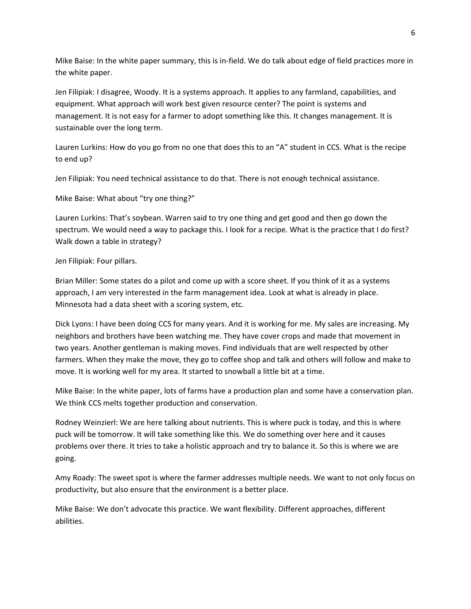Mike Baise: In the white paper summary, this is in‐field. We do talk about edge of field practices more in the white paper.

Jen Filipiak: I disagree, Woody. It is a systems approach. It applies to any farmland, capabilities, and equipment. What approach will work best given resource center? The point is systems and management. It is not easy for a farmer to adopt something like this. It changes management. It is sustainable over the long term.

Lauren Lurkins: How do you go from no one that does this to an "A" student in CCS. What is the recipe to end up?

Jen Filipiak: You need technical assistance to do that. There is not enough technical assistance.

Mike Baise: What about "try one thing?"

Lauren Lurkins: That's soybean. Warren said to try one thing and get good and then go down the spectrum. We would need a way to package this. I look for a recipe. What is the practice that I do first? Walk down a table in strategy?

Jen Filipiak: Four pillars.

Brian Miller: Some states do a pilot and come up with a score sheet. If you think of it as a systems approach, I am very interested in the farm management idea. Look at what is already in place. Minnesota had a data sheet with a scoring system, etc.

Dick Lyons: I have been doing CCS for many years. And it is working for me. My sales are increasing. My neighbors and brothers have been watching me. They have cover crops and made that movement in two years. Another gentleman is making moves. Find individuals that are well respected by other farmers. When they make the move, they go to coffee shop and talk and others will follow and make to move. It is working well for my area. It started to snowball a little bit at a time.

Mike Baise: In the white paper, lots of farms have a production plan and some have a conservation plan. We think CCS melts together production and conservation.

Rodney Weinzierl: We are here talking about nutrients. This is where puck is today, and this is where puck will be tomorrow. It will take something like this. We do something over here and it causes problems over there. It tries to take a holistic approach and try to balance it. So this is where we are going.

Amy Roady: The sweet spot is where the farmer addresses multiple needs. We want to not only focus on productivity, but also ensure that the environment is a better place.

Mike Baise: We don't advocate this practice. We want flexibility. Different approaches, different abilities.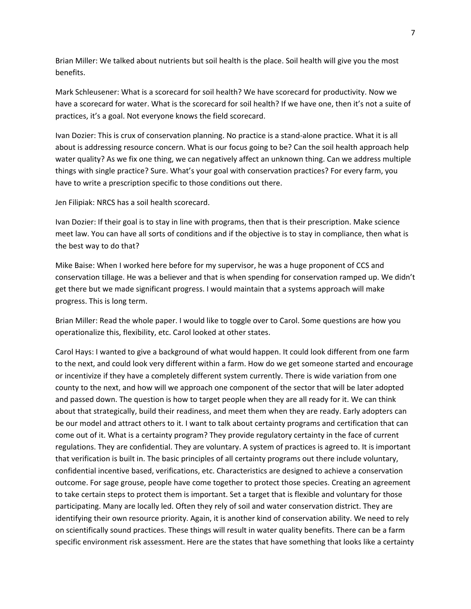Brian Miller: We talked about nutrients but soil health is the place. Soil health will give you the most benefits.

Mark Schleusener: What is a scorecard for soil health? We have scorecard for productivity. Now we have a scorecard for water. What is the scorecard for soil health? If we have one, then it's not a suite of practices, it's a goal. Not everyone knows the field scorecard.

Ivan Dozier: This is crux of conservation planning. No practice is a stand‐alone practice. What it is all about is addressing resource concern. What is our focus going to be? Can the soil health approach help water quality? As we fix one thing, we can negatively affect an unknown thing. Can we address multiple things with single practice? Sure. What's your goal with conservation practices? For every farm, you have to write a prescription specific to those conditions out there.

Jen Filipiak: NRCS has a soil health scorecard.

Ivan Dozier: If their goal is to stay in line with programs, then that is their prescription. Make science meet law. You can have all sorts of conditions and if the objective is to stay in compliance, then what is the best way to do that?

Mike Baise: When I worked here before for my supervisor, he was a huge proponent of CCS and conservation tillage. He was a believer and that is when spending for conservation ramped up. We didn't get there but we made significant progress. I would maintain that a systems approach will make progress. This is long term.

Brian Miller: Read the whole paper. I would like to toggle over to Carol. Some questions are how you operationalize this, flexibility, etc. Carol looked at other states.

Carol Hays: I wanted to give a background of what would happen. It could look different from one farm to the next, and could look very different within a farm. How do we get someone started and encourage or incentivize if they have a completely different system currently. There is wide variation from one county to the next, and how will we approach one component of the sector that will be later adopted and passed down. The question is how to target people when they are all ready for it. We can think about that strategically, build their readiness, and meet them when they are ready. Early adopters can be our model and attract others to it. I want to talk about certainty programs and certification that can come out of it. What is a certainty program? They provide regulatory certainty in the face of current regulations. They are confidential. They are voluntary. A system of practices is agreed to. It is important that verification is built in. The basic principles of all certainty programs out there include voluntary, confidential incentive based, verifications, etc. Characteristics are designed to achieve a conservation outcome. For sage grouse, people have come together to protect those species. Creating an agreement to take certain steps to protect them is important. Set a target that is flexible and voluntary for those participating. Many are locally led. Often they rely of soil and water conservation district. They are identifying their own resource priority. Again, it is another kind of conservation ability. We need to rely on scientifically sound practices. These things will result in water quality benefits. There can be a farm specific environment risk assessment. Here are the states that have something that looks like a certainty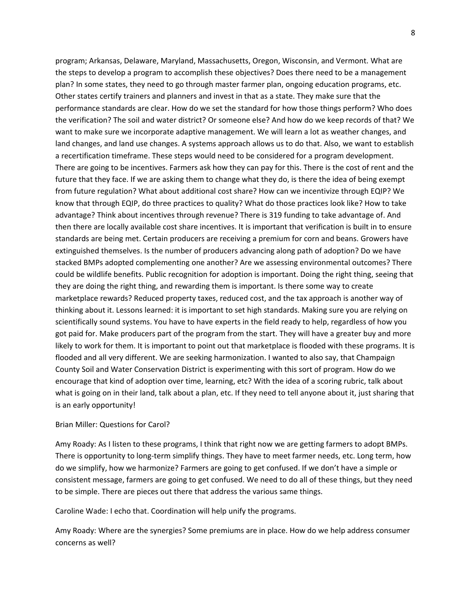program; Arkansas, Delaware, Maryland, Massachusetts, Oregon, Wisconsin, and Vermont. What are the steps to develop a program to accomplish these objectives? Does there need to be a management plan? In some states, they need to go through master farmer plan, ongoing education programs, etc. Other states certify trainers and planners and invest in that as a state. They make sure that the performance standards are clear. How do we set the standard for how those things perform? Who does the verification? The soil and water district? Or someone else? And how do we keep records of that? We want to make sure we incorporate adaptive management. We will learn a lot as weather changes, and land changes, and land use changes. A systems approach allows us to do that. Also, we want to establish a recertification timeframe. These steps would need to be considered for a program development. There are going to be incentives. Farmers ask how they can pay for this. There is the cost of rent and the future that they face. If we are asking them to change what they do, is there the idea of being exempt from future regulation? What about additional cost share? How can we incentivize through EQIP? We know that through EQIP, do three practices to quality? What do those practices look like? How to take advantage? Think about incentives through revenue? There is 319 funding to take advantage of. And then there are locally available cost share incentives. It is important that verification is built in to ensure standards are being met. Certain producers are receiving a premium for corn and beans. Growers have extinguished themselves. Is the number of producers advancing along path of adoption? Do we have stacked BMPs adopted complementing one another? Are we assessing environmental outcomes? There could be wildlife benefits. Public recognition for adoption is important. Doing the right thing, seeing that they are doing the right thing, and rewarding them is important. Is there some way to create marketplace rewards? Reduced property taxes, reduced cost, and the tax approach is another way of thinking about it. Lessons learned: it is important to set high standards. Making sure you are relying on scientifically sound systems. You have to have experts in the field ready to help, regardless of how you got paid for. Make producers part of the program from the start. They will have a greater buy and more likely to work for them. It is important to point out that marketplace is flooded with these programs. It is flooded and all very different. We are seeking harmonization. I wanted to also say, that Champaign County Soil and Water Conservation District is experimenting with this sort of program. How do we encourage that kind of adoption over time, learning, etc? With the idea of a scoring rubric, talk about what is going on in their land, talk about a plan, etc. If they need to tell anyone about it, just sharing that is an early opportunity!

#### Brian Miller: Questions for Carol?

Amy Roady: As I listen to these programs, I think that right now we are getting farmers to adopt BMPs. There is opportunity to long-term simplify things. They have to meet farmer needs, etc. Long term, how do we simplify, how we harmonize? Farmers are going to get confused. If we don't have a simple or consistent message, farmers are going to get confused. We need to do all of these things, but they need to be simple. There are pieces out there that address the various same things.

Caroline Wade: I echo that. Coordination will help unify the programs.

Amy Roady: Where are the synergies? Some premiums are in place. How do we help address consumer concerns as well?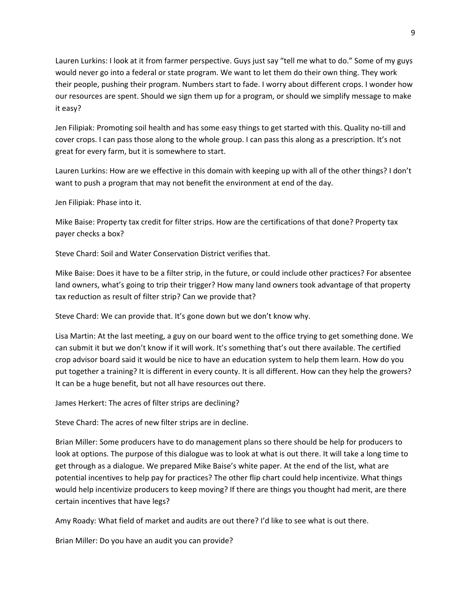Lauren Lurkins: I look at it from farmer perspective. Guys just say "tell me what to do." Some of my guys would never go into a federal or state program. We want to let them do their own thing. They work their people, pushing their program. Numbers start to fade. I worry about different crops. I wonder how our resources are spent. Should we sign them up for a program, or should we simplify message to make it easy?

Jen Filipiak: Promoting soil health and has some easy things to get started with this. Quality no‐till and cover crops. I can pass those along to the whole group. I can pass this along as a prescription. It's not great for every farm, but it is somewhere to start.

Lauren Lurkins: How are we effective in this domain with keeping up with all of the other things? I don't want to push a program that may not benefit the environment at end of the day.

Jen Filipiak: Phase into it.

Mike Baise: Property tax credit for filter strips. How are the certifications of that done? Property tax payer checks a box?

Steve Chard: Soil and Water Conservation District verifies that.

Mike Baise: Does it have to be a filter strip, in the future, or could include other practices? For absentee land owners, what's going to trip their trigger? How many land owners took advantage of that property tax reduction as result of filter strip? Can we provide that?

Steve Chard: We can provide that. It's gone down but we don't know why.

Lisa Martin: At the last meeting, a guy on our board went to the office trying to get something done. We can submit it but we don't know if it will work. It's something that's out there available. The certified crop advisor board said it would be nice to have an education system to help them learn. How do you put together a training? It is different in every county. It is all different. How can they help the growers? It can be a huge benefit, but not all have resources out there.

James Herkert: The acres of filter strips are declining?

Steve Chard: The acres of new filter strips are in decline.

Brian Miller: Some producers have to do management plans so there should be help for producers to look at options. The purpose of this dialogue was to look at what is out there. It will take a long time to get through as a dialogue. We prepared Mike Baise's white paper. At the end of the list, what are potential incentives to help pay for practices? The other flip chart could help incentivize. What things would help incentivize producers to keep moving? If there are things you thought had merit, are there certain incentives that have legs?

Amy Roady: What field of market and audits are out there? I'd like to see what is out there.

Brian Miller: Do you have an audit you can provide?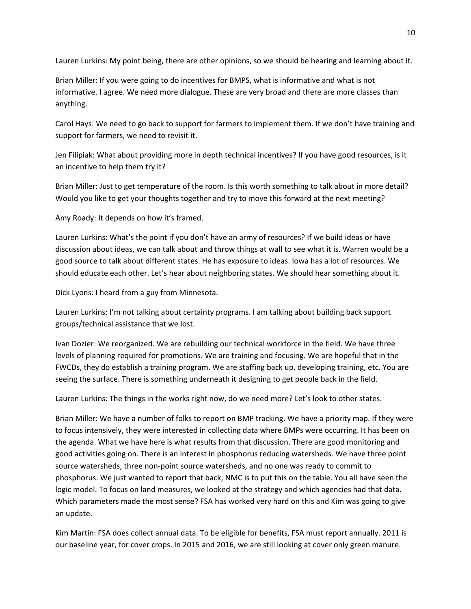Lauren Lurkins: My point being, there are other opinions, so we should be hearing and learning about it.

Brian Miller: If you were going to do incentives for BMPS, what is informative and what is not informative. I agree. We need more dialogue. These are very broad and there are more classes than anything.

Carol Hays: We need to go back to support for farmers to implement them. If we don't have training and support for farmers, we need to revisit it.

Jen Filipiak: What about providing more in depth technical incentives? If you have good resources, is it an incentive to help them try it?

Brian Miller: Just to get temperature of the room. Is this worth something to talk about in more detail? Would you like to get your thoughts together and try to move this forward at the next meeting?

Amy Roady: It depends on how it's framed.

Lauren Lurkins: What's the point if you don't have an army of resources? If we build ideas or have discussion about ideas, we can talk about and throw things at wall to see what it is. Warren would be a good source to talk about different states. He has exposure to ideas. Iowa has a lot of resources. We should educate each other. Let's hear about neighboring states. We should hear something about it.

Dick Lyons: I heard from a guy from Minnesota.

Lauren Lurkins: I'm not talking about certainty programs. I am talking about building back support groups/technical assistance that we lost.

Ivan Dozier: We reorganized. We are rebuilding our technical workforce in the field. We have three levels of planning required for promotions. We are training and focusing. We are hopeful that in the FWCDs, they do establish a training program. We are staffing back up, developing training, etc. You are seeing the surface. There is something underneath it designing to get people back in the field.

Lauren Lurkins: The things in the works right now, do we need more? Let's look to other states.

Brian Miller: We have a number of folks to report on BMP tracking. We have a priority map. If they were to focus intensively, they were interested in collecting data where BMPs were occurring. It has been on the agenda. What we have here is what results from that discussion. There are good monitoring and good activities going on. There is an interest in phosphorus reducing watersheds. We have three point source watersheds, three non-point source watersheds, and no one was ready to commit to phosphorus. We just wanted to report that back, NMC is to put this on the table. You all have seen the logic model. To focus on land measures, we looked at the strategy and which agencies had that data. Which parameters made the most sense? FSA has worked very hard on this and Kim was going to give an update.

Kim Martin: FSA does collect annual data. To be eligible for benefits, FSA must report annually. 2011 is our baseline year, for cover crops. In 2015 and 2016, we are still looking at cover only green manure.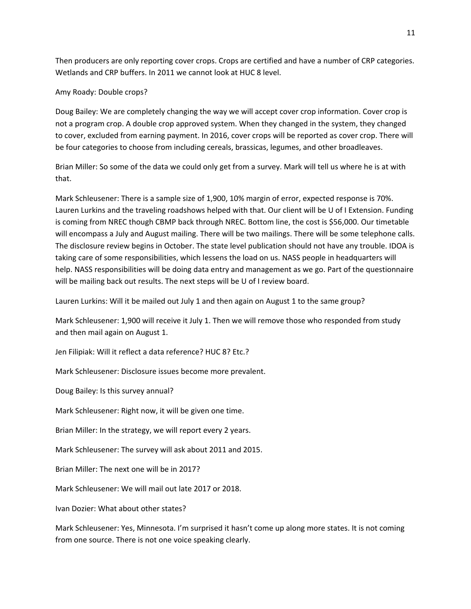Then producers are only reporting cover crops. Crops are certified and have a number of CRP categories. Wetlands and CRP buffers. In 2011 we cannot look at HUC 8 level.

#### Amy Roady: Double crops?

Doug Bailey: We are completely changing the way we will accept cover crop information. Cover crop is not a program crop. A double crop approved system. When they changed in the system, they changed to cover, excluded from earning payment. In 2016, cover crops will be reported as cover crop. There will be four categories to choose from including cereals, brassicas, legumes, and other broadleaves.

Brian Miller: So some of the data we could only get from a survey. Mark will tell us where he is at with that.

Mark Schleusener: There is a sample size of 1,900, 10% margin of error, expected response is 70%. Lauren Lurkins and the traveling roadshows helped with that. Our client will be U of I Extension. Funding is coming from NREC though CBMP back through NREC. Bottom line, the cost is \$56,000. Our timetable will encompass a July and August mailing. There will be two mailings. There will be some telephone calls. The disclosure review begins in October. The state level publication should not have any trouble. IDOA is taking care of some responsibilities, which lessens the load on us. NASS people in headquarters will help. NASS responsibilities will be doing data entry and management as we go. Part of the questionnaire will be mailing back out results. The next steps will be U of I review board.

Lauren Lurkins: Will it be mailed out July 1 and then again on August 1 to the same group?

Mark Schleusener: 1,900 will receive it July 1. Then we will remove those who responded from study and then mail again on August 1.

Jen Filipiak: Will it reflect a data reference? HUC 8? Etc.?

Mark Schleusener: Disclosure issues become more prevalent.

Doug Bailey: Is this survey annual?

Mark Schleusener: Right now, it will be given one time.

Brian Miller: In the strategy, we will report every 2 years.

Mark Schleusener: The survey will ask about 2011 and 2015.

Brian Miller: The next one will be in 2017?

Mark Schleusener: We will mail out late 2017 or 2018.

Ivan Dozier: What about other states?

Mark Schleusener: Yes, Minnesota. I'm surprised it hasn't come up along more states. It is not coming from one source. There is not one voice speaking clearly.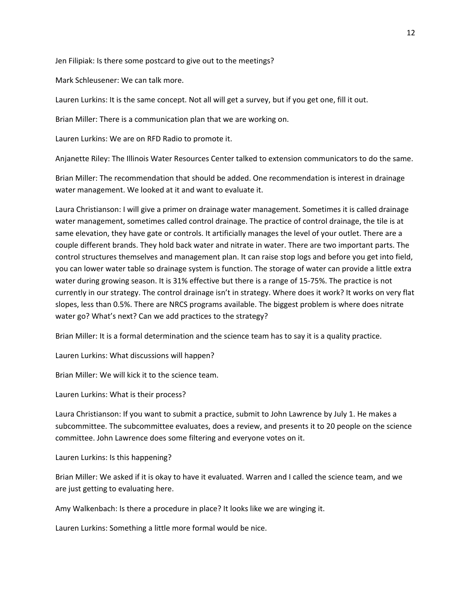Jen Filipiak: Is there some postcard to give out to the meetings?

Mark Schleusener: We can talk more.

Lauren Lurkins: It is the same concept. Not all will get a survey, but if you get one, fill it out.

Brian Miller: There is a communication plan that we are working on.

Lauren Lurkins: We are on RFD Radio to promote it.

Anjanette Riley: The Illinois Water Resources Center talked to extension communicators to do the same.

Brian Miller: The recommendation that should be added. One recommendation is interest in drainage water management. We looked at it and want to evaluate it.

Laura Christianson: I will give a primer on drainage water management. Sometimes it is called drainage water management, sometimes called control drainage. The practice of control drainage, the tile is at same elevation, they have gate or controls. It artificially manages the level of your outlet. There are a couple different brands. They hold back water and nitrate in water. There are two important parts. The control structures themselves and management plan. It can raise stop logs and before you get into field, you can lower water table so drainage system is function. The storage of water can provide a little extra water during growing season. It is 31% effective but there is a range of 15-75%. The practice is not currently in our strategy. The control drainage isn't in strategy. Where does it work? It works on very flat slopes, less than 0.5%. There are NRCS programs available. The biggest problem is where does nitrate water go? What's next? Can we add practices to the strategy?

Brian Miller: It is a formal determination and the science team has to say it is a quality practice.

Lauren Lurkins: What discussions will happen?

Brian Miller: We will kick it to the science team.

Lauren Lurkins: What is their process?

Laura Christianson: If you want to submit a practice, submit to John Lawrence by July 1. He makes a subcommittee. The subcommittee evaluates, does a review, and presents it to 20 people on the science committee. John Lawrence does some filtering and everyone votes on it.

Lauren Lurkins: Is this happening?

Brian Miller: We asked if it is okay to have it evaluated. Warren and I called the science team, and we are just getting to evaluating here.

Amy Walkenbach: Is there a procedure in place? It looks like we are winging it.

Lauren Lurkins: Something a little more formal would be nice.